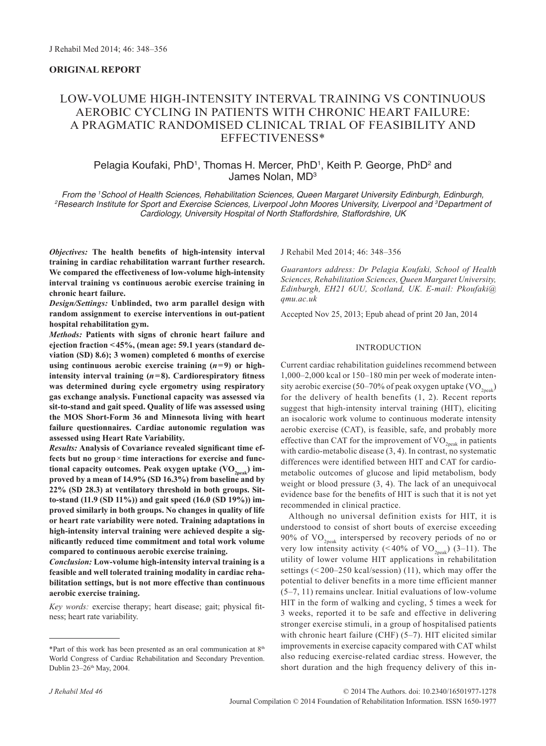# **ORIGINAL REPORT**

# Low-Volume High-Intensity Interval Training vs Continuous Aerobic Cycling in patients with Chronic Heart Failure: a pragmatic randomised clinical trial of feasibility and effectiveness\*

# Pelagia Koufaki, PhD<sup>1</sup>, Thomas H. Mercer, PhD<sup>1</sup>, Keith P. George, PhD<sup>2</sup> and James Nolan, MD3

*From the 1 School of Health Sciences, Rehabilitation Sciences, Queen Margaret University Edinburgh, Edinburgh, 2 Research Institute for Sport and Exercise Sciences, Liverpool John Moores University, Liverpool and 3 Department of Cardiology, University Hospital of North Staffordshire, Staffordshire, UK*

*Objectives:* **The health benefits of high-intensity interval training in cardiac rehabilitation warrant further research. We compared the effectiveness of low-volume high-intensity interval training vs continuous aerobic exercise training in chronic heart failure.**

*Design/Settings:* **Unblinded, two arm parallel design with random assignment to exercise interventions in out-patient hospital rehabilitation gym.**

*Methods:* **Patients with signs of chronic heart failure and ejection fraction <45%, (mean age: 59.1 years (standard deviation (SD) 8.6); 3 women) completed 6 months of exercise**  using continuous aerobic exercise training  $(n=9)$  or high**intensity interval training (***n***=8). Cardiorespiratory fitness was determined during cycle ergometry using respiratory gas exchange analysis. Functional capacity was assessed via sit-to-stand and gait speed. Quality of life was assessed using the MOS Short-Form 36 and Minnesota living with heart failure questionnaires. Cardiac autonomic regulation was assessed using Heart Rate Variability.**

*Results:* **Analysis of Covariance revealed significant time effects but no group**×**time interactions for exercise and func**tional capacity outcomes. Peak oxygen uptake (VO<sub>2peak</sub>) im**proved by a mean of 14.9% (SD 16.3%) from baseline and by 22% (SD 28.3) at ventilatory threshold in both groups. Sitto-stand (11.9 (SD 11%)) and gait speed (16.0 (SD 19%)) improved similarly in both groups. No changes in quality of life or heart rate variability were noted. Training adaptations in high-intensity interval training were achieved despite a significantly reduced time commitment and total work volume compared to continuous aerobic exercise training.** 

*Conclusion:* **Low-volume high-intensity interval training is a feasible and well tolerated training modality in cardiac rehabilitation settings, but is not more effective than continuous aerobic exercise training.**

*Key words:* exercise therapy; heart disease; gait; physical fitness; heart rate variability.

\*Part of this work has been presented as an oral communication at 8th World Congress of Cardiac Rehabilitation and Secondary Prevention. Dublin 23-26<sup>th</sup> May, 2004.

J Rehabil Med 2014; 46: 348–356

*Guarantors address: Dr Pelagia Koufaki, School of Health Sciences, Rehabilitation Sciences, Queen Margaret University, Edinburgh, EH21 6UU, Scotland, UK. E-mail: [Pkoufaki@](mailto:Pkoufaki@qmu.ac.uk) [qmu.ac.uk](mailto:Pkoufaki@qmu.ac.uk)*

Accepted Nov 25, 2013; Epub ahead of print 20 Jan, 2014

# INTRODUCTION

Current cardiac rehabilitation guidelines recommend between 1,000–2,000 kcal or 150–180 min per week of moderate intensity aerobic exercise (50–70% of peak oxygen uptake (VO<sub>2peak</sub>) for the delivery of health benefits (1, 2). Recent reports suggest that high-intensity interval training (HIT), eliciting an isocaloric work volume to continuous moderate intensity aerobic exercise (CAT), is feasible, safe, and probably more effective than CAT for the improvement of  $VO_{2nek}$  in patients with cardio-metabolic disease  $(3, 4)$ . In contrast, no systematic differences were identified between HIT and CAT for cardiometabolic outcomes of glucose and lipid metabolism, body weight or blood pressure (3, 4). The lack of an unequivocal evidence base for the benefits of HIT is such that it is not yet recommended in clinical practice.

Although no universal definition exists for HIT, it is understood to consist of short bouts of exercise exceeding 90% of  $VO_{2n\text{eak}}$  interspersed by recovery periods of no or very low intensity activity (<40% of  $VO_{2peak}$ ) (3–11). The utility of lower volume HIT applications in rehabilitation settings (< 200–250 kcal/session) (11), which may offer the potential to deliver benefits in a more time efficient manner (5–7, 11) remains unclear. Initial evaluations of low-volume HIT in the form of walking and cycling, 5 times a week for 3 weeks, reported it to be safe and effective in delivering stronger exercise stimuli, in a group of hospitalised patients with chronic heart failure (CHF) (5–7). HIT elicited similar improvements in exercise capacity compared with CAT whilst also reducing exercise-related cardiac stress. However, the short duration and the high frequency delivery of this in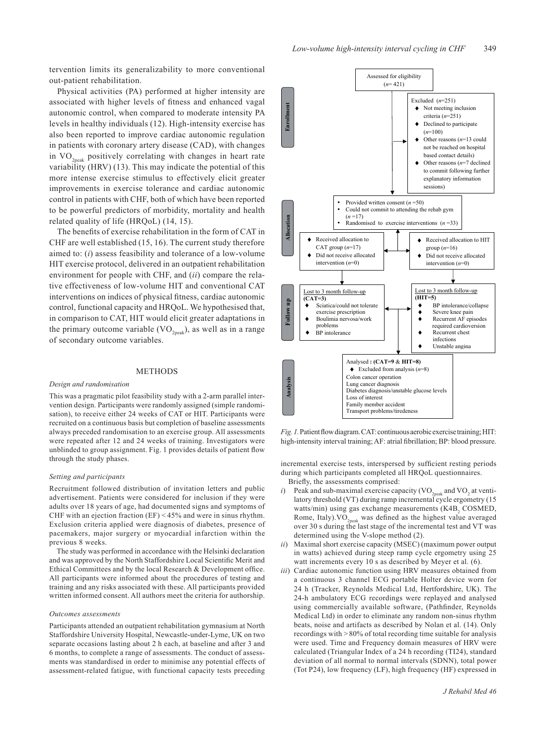tervention limits its generalizability to more conventional out-patient rehabilitation.

Physical activities (PA) performed at higher intensity are associated with higher levels of fitness and enhanced vagal autonomic control, when compared to moderate intensity PA levels in healthy individuals (12). High-intensity exercise has also been reported to improve cardiac autonomic regulation in patients with coronary artery disease (CAD), with changes in  $VO_{2peak}$  positively correlating with changes in heart rate variability (HRV) (13). This may indicate the potential of this more intense exercise stimulus to effectively elicit greater improvements in exercise tolerance and cardiac autonomic control in patients with CHF, both of which have been reported to be powerful predictors of morbidity, mortality and health related quality of life (HRQoL) (14, 15).

The benefits of exercise rehabilitation in the form of CAT in CHF are well established (15, 16). The current study therefore aimed to: (*i*) assess feasibility and tolerance of a low-volume HIT exercise protocol, delivered in an outpatient rehabilitation environment for people with CHF, and (*ii*) compare the relative effectiveness of low-volume HIT and conventional CAT interventions on indices of physical fitness, cardiac autonomic control, functional capacity and HRQoL. We hypothesised that, in comparison to CAT, HIT would elicit greater adaptations in the primary outcome variable  $(VO_{2n eV})$ , as well as in a range of secondary outcome variables.

#### **METHODS**

#### *Design and randomisation*

This was a pragmatic pilot feasibility study with a 2-arm parallel intervention design. Participants were randomly assigned (simple randomisation), to receive either 24 weeks of CAT or HIT. Participants were recruited on a continuous basis but completion of baseline assessments always preceded randomisation to an exercise group. All assessments were repeated after 12 and 24 weeks of training. Investigators were unblinded to group assignment. Fig. 1 provides details of patient flow through the study phases.

#### *Setting and participants*

Recruitment followed distribution of invitation letters and public advertisement. Patients were considered for inclusion if they were adults over 18 years of age, had documented signs and symptoms of CHF with an ejection fraction (EF) < 45% and were in sinus rhythm. Exclusion criteria applied were diagnosis of diabetes, presence of pacemakers, major surgery or myocardial infarction within the previous 8 weeks.

The study was performed in accordance with the Helsinki declaration and was approved by the North Staffordshire Local Scientific Merit and Ethical Committees and by the local Research & Development office. All participants were informed about the procedures of testing and training and any risks associated with these. All participants provided written informed consent. All authors meet the criteria for authorship.

#### *Outcomes assessments*

Participants attended an outpatient rehabilitation gymnasium at North Staffordshire University Hospital, Newcastle-under-Lyme, UK on two separate occasions lasting about 2 h each, at baseline and after 3 and 6 months, to complete a range of assessments. The conduct of assessments was standardised in order to minimise any potential effects of assessment-related fatigue, with functional capacity tests preceding



*Fig. 1.* Patient flow diagram. CAT: continuous aerobic exercise training; HIT: high-intensity interval training; AF: atrial fibrillation; BP: blood pressure.

incremental exercise tests, interspersed by sufficient resting periods during which participants completed all HRQoL questionnaires. Briefly, the assessments comprised:

- *i*) Peak and sub-maximal exercise capacity (VO<sub>2peak</sub> and VO<sub>2</sub> at ventilatory threshold (VT) during ramp incremental cycle ergometry (15 watts/min) using gas exchange measurements  $(K4B<sub>2</sub> COSMED,$ Rome, Italy). VO<sub>2peak</sub> was defined as the highest value averaged over 30 s during the last stage of the incremental test and VT was determined using the V-slope method (2).
- *ii*) Maximal short exercise capacity (MSEC) (maximum power output in watts) achieved during steep ramp cycle ergometry using 25 watt increments every 10 s as described by Meyer et al. (6).
- *iii*) Cardiac autonomic function using HRV measures obtained from a continuous 3 channel ECG portable Holter device worn for 24 h (Tracker, Reynolds Medical Ltd, Hertfordshire, UK). The 24-h ambulatory ECG recordings were replayed and analysed using commercially available software, (Pathfinder, Reynolds Medical Ltd) in order to eliminate any random non-sinus rhythm beats, noise and artifacts as described by Nolan et al. (14). Only recordings with > 80% of total recording time suitable for analysis were used. Time and Frequency domain measures of HRV were calculated (Triangular Index of a 24 h recording (TI24), standard deviation of all normal to normal intervals (SDNN), total power (Tot P24), low frequency (LF), high frequency (HF) expressed in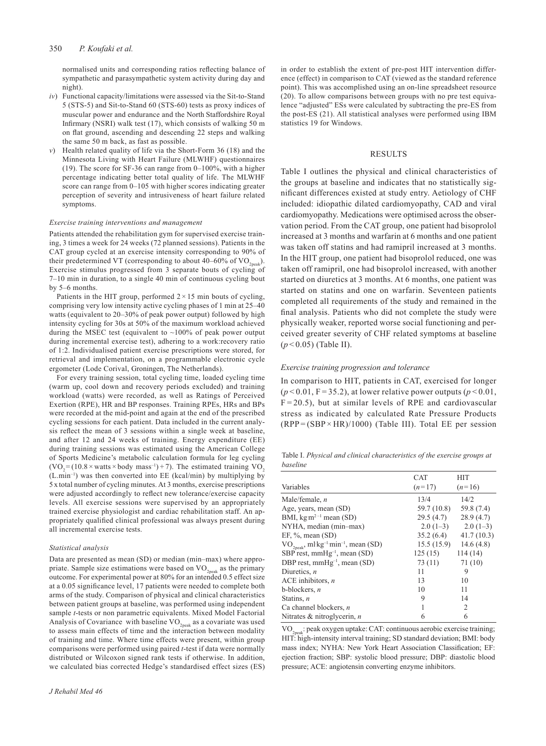#### 350 *P. Koufaki et al.*

normalised units and corresponding ratios reflecting balance of sympathetic and parasympathetic system activity during day and night).

- *iv*) Functional capacity/limitations were assessed via the Sit-to-Stand 5 (STS-5) and Sit-to-Stand 60 (STS-60) tests as proxy indices of muscular power and endurance and the North Staffordshire Royal Infirmary (NSRI) walk test (17), which consists of walking 50 m on flat ground, ascending and descending 22 steps and walking the same 50 m back, as fast as possible.
- *v*) Health related quality of life via the Short-Form 36 (18) and the Minnesota Living with Heart Failure (MLWHF) questionnaires (19). The score for SF-36 can range from 0–100%, with a higher percentage indicating better total quality of life. The MLWHF score can range from 0–105 with higher scores indicating greater perception of severity and intrusiveness of heart failure related symptoms.

#### *Exercise training interventions and management*

Patients attended the rehabilitation gym for supervised exercise training, 3 times a week for 24 weeks (72 planned sessions). Patients in the CAT group cycled at an exercise intensity corresponding to 90% of their predetermined VT (corresponding to about 40–60% of  $VO_{2\text{peak}}$ ). Exercise stimulus progressed from 3 separate bouts of cycling of 7–10 min in duration, to a single 40 min of continuous cycling bout by 5–6 months.

Patients in the HIT group, performed  $2 \times 15$  min bouts of cycling, comprising very low intensity active cycling phases of 1 min at 25–40 watts (equivalent to 20–30% of peak power output) followed by high intensity cycling for 30s at 50% of the maximum workload achieved during the MSEC test (equivalent to ~100% of peak power output during incremental exercise test), adhering to a work:recovery ratio of 1:2. Individualised patient exercise prescriptions were stored, for retrieval and implementation, on a programmable electronic cycle ergometer (Lode Corival, Groningen, The Netherlands).

For every training session, total cycling time, loaded cycling time (warm up, cool down and recovery periods excluded) and training workload (watts) were recorded, as well as Ratings of Perceived Exertion (RPE), HR and BP responses. Training RPEs, HRs and BPs were recorded at the mid-point and again at the end of the prescribed cycling sessions for each patient. Data included in the current analysis reflect the mean of 3 sessions within a single week at baseline, and after 12 and 24 weeks of training. Energy expenditure (EE) during training sessions was estimated using the American College of Sports Medicine's metabolic calculation formula for leg cycling  $(VO<sub>2</sub> = (10.8 \times watts \times body mass<sup>-1</sup>) + 7)$ . The estimated training VO<sub>2</sub> (L.min–1) was then converted into EE (kcal/min) by multiplying by 5 x total number of cycling minutes. At 3 months, exercise prescriptions were adjusted accordingly to reflect new tolerance/exercise capacity levels. All exercise sessions were supervised by an appropriately trained exercise physiologist and cardiac rehabilitation staff. An appropriately qualified clinical professional was always present during all incremental exercise tests.

#### *Statistical analysis*

Data are presented as mean (SD) or median (min–max) where appropriate. Sample size estimations were based on  $VO_{2\text{peak}}$  as the primary outcome. For experimental power at 80% for an intended 0.5 effect size at a 0.05 significance level, 17 patients were needed to complete both arms of the study. Comparison of physical and clinical characteristics between patient groups at baseline, was performed using independent sample *t*-tests or non parametric equivalents. Mixed Model Factorial Analysis of Covariance with baseline  $VO_{2\text{peak}}$  as a covariate was used to assess main effects of time and the interaction between modality of training and time. Where time effects were present, within group comparisons were performed using paired *t*-test if data were normally distributed or Wilcoxon signed rank tests if otherwise. In addition, we calculated bias corrected Hedge's standardised effect sizes (ES) in order to establish the extent of pre-post HIT intervention difference (effect) in comparison to CAT (viewed as the standard reference point). This was accomplished using an on-line spreadsheet resource (20). To allow comparisons between groups with no pre test equivalence "adjusted" ESs were calculated by subtracting the pre-ES from the post-ES (21). All statistical analyses were performed using IBM statistics 19 for Windows.

# RESULTS

Table I outlines the physical and clinical characteristics of the groups at baseline and indicates that no statistically significant differences existed at study entry. Aetiology of CHF included: idiopathic dilated cardiomyopathy, CAD and viral cardiomyopathy. Medications were optimised across the observation period. From the CAT group, one patient had bisoprolol increased at 3 months and warfarin at 6 months and one patient was taken off statins and had ramipril increased at 3 months. In the HIT group, one patient had bisoprolol reduced, one was taken off ramipril, one had bisoprolol increased, with another started on diuretics at 3 months. At 6 months, one patient was started on statins and one on warfarin. Seventeen patients completed all requirements of the study and remained in the final analysis. Patients who did not complete the study were physically weaker, reported worse social functioning and perceived greater severity of CHF related symptoms at baseline (*p* < 0.05) (Table II).

#### *Exercise training progression and tolerance*

In comparison to HIT, patients in CAT, exercised for longer  $(p<0.01, F=35.2)$ , at lower relative power outputs  $(p<0.01, F=35.2)$  $F = 20.5$ ), but at similar levels of RPE and cardiovascular stress as indicated by calculated Rate Pressure Products  $(RPP = (SBP \times HR)/1000)$  (Table III). Total EE per session

Table I. *Physical and clinical characteristics of the exercise groups at baseline*

|                                                               | <b>CAT</b>  | <b>HIT</b>     |
|---------------------------------------------------------------|-------------|----------------|
| Variables                                                     | $(n=17)$    | $(n=16)$       |
| Male/female, $n$                                              | 13/4        | 14/2           |
| Age, years, mean (SD)                                         | 59.7 (10.8) | 59.8 (7.4)     |
| BMI, $\text{kg m}^{2-1}$ mean (SD)                            | 29.5(4.7)   | 28.9(4.7)      |
| NYHA, median (min-max)                                        | $2.0(1-3)$  | $2.0(1-3)$     |
| EF, $\%$ , mean $(SD)$                                        | 35.2(6.4)   | 41.7(10.3)     |
| $VO2peak$ , ml kg <sup>-1</sup> min <sup>-1</sup> , mean (SD) | 15.5(15.9)  | 14.6 $(4.8)$   |
| SBP rest, $mmHg^{-1}$ , mean (SD)                             | 125(15)     | 114(14)        |
| DBP rest, $mmHg^{-1}$ , mean (SD)                             | 73 (11)     | 71 (10)        |
| Diuretics, $n$                                                | 11          | 9              |
| ACE inhibitors, $n$                                           | 13          | 10             |
| $b$ -blockers, $n$                                            | 10          | 11             |
| Statins, n                                                    | 9           | 14             |
| Ca channel blockers, $n$                                      |             | $\mathfrak{D}$ |
| Nitrates & nitroglycerin, n                                   | 6           | 6              |

VO<sub>2peak</sub>: peak oxygen uptake: CAT: continuous aerobic exercise training; HIT: high-intensity interval training; SD standard deviation; BMI: body mass index; NYHA: New York Heart Association Classification; EF: ejection fraction; SBP: systolic blood pressure; DBP: diastolic blood pressure; ACE: angiotensin converting enzyme inhibitors.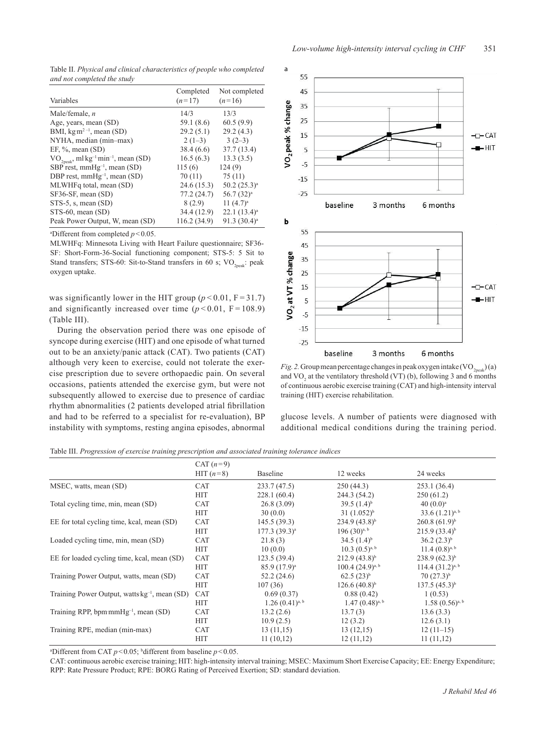Table II. *Physical and clinical characteristics of people who completed and not completed the study*

| Variables                                                     | Completed<br>$(n=17)$ | Not completed<br>$(n=16)$ |
|---------------------------------------------------------------|-----------------------|---------------------------|
| Male/female, $n$                                              | 14/3                  | 13/3                      |
| Age, years, mean (SD)                                         | 59.1 (8.6)            | 60.5(9.9)                 |
| BMI, $\text{kg m}^{2-1}$ , mean (SD)                          | 29.2(5.1)             | 29.2(4.3)                 |
| NYHA, median (min-max)                                        | $2(1-3)$              | $3(2-3)$                  |
| EF, $\%$ , mean (SD)                                          | 38.4(6.6)             | 37.7(13.4)                |
| $VO2peak$ , ml kg <sup>-1</sup> min <sup>-1</sup> , mean (SD) | 16.5(6.3)             | 13.3(3.5)                 |
| SBP rest, $mmHg^{-1}$ , mean (SD)                             | 115(6)                | 124(9)                    |
| DBP rest, $mmHg^{-1}$ , mean (SD)                             | 70(11)                | 75(11)                    |
| MLWHFq total, mean (SD)                                       | 24.6(15.3)            | $50.2(25.3)^a$            |
| SF36-SF, mean (SD)                                            | 77.2(24.7)            | $56.7(32)^a$              |
| $STS-5$ , s, mean $(SD)$                                      | 8(2.9)                | 11 $(4.7)^a$              |
| $STS-60$ , mean $(SD)$                                        | 34.4 (12.9)           | $22.1(13.4)^a$            |
| Peak Power Output, W, mean (SD)                               | 116.2 (34.9)          | $91.3(30.4)^a$            |

a Different from completed *p*<0.05.

MLWHFq: Minnesota Living with Heart Failure questionnaire; SF36- SF: Short-Form-36-Social functioning component; STS-5: 5 Sit to Stand transfers; STS-60: Sit-to-Stand transfers in 60 s;  $VO_{2n eak}$ : peak oxygen uptake.

was significantly lower in the HIT group  $(p < 0.01, F = 31.7)$ and significantly increased over time  $(p < 0.01, F = 108.9)$ (Table III).

During the observation period there was one episode of syncope during exercise (HIT) and one episode of what turned out to be an anxiety/panic attack (CAT). Two patients (CAT) although very keen to exercise, could not tolerate the exercise prescription due to severe orthopaedic pain. On several occasions, patients attended the exercise gym, but were not subsequently allowed to exercise due to presence of cardiac rhythm abnormalities (2 patients developed atrial fibrillation and had to be referred to a specialist for re-evaluation), BP instability with symptoms, resting angina episodes, abnormal



*Fig. 2.* Group mean percentage changes in peak oxygen intake  $(VO_{2p}^{(n)}(a))$ and  $VO<sub>2</sub>$  at the ventilatory threshold (VT) (b), following 3 and 6 months of continuous aerobic exercise training (CAT) and high-intensity interval training (HIT) exercise rehabilitation.

glucose levels. A number of patients were diagnosed with additional medical conditions during the training period.

Table III. *Progression of exercise training prescription and associated training tolerance indices*

|                                                           | CAT $(n=9)$ |                     |                         |                      |
|-----------------------------------------------------------|-------------|---------------------|-------------------------|----------------------|
|                                                           | HIT $(n=8)$ | Baseline            | 12 weeks                | 24 weeks             |
| MSEC, watts, mean (SD)                                    | <b>CAT</b>  | 233.7(47.5)         | 250(44.3)               | 253.1(36.4)          |
|                                                           | <b>HIT</b>  | 228.1(60.4)         | 244.3 (54.2)            | 250(61.2)            |
| Total cycling time, min, mean (SD)                        | <b>CAT</b>  | 26.8(3.09)          | 39.5 $(1.4)^{b}$        | $40(0.0)^a$          |
|                                                           | <b>HIT</b>  | 30(0.0)             | $31(1.052)^{b}$         | $33.6(1.21)^{a, b}$  |
| EE for total cycling time, kcal, mean (SD)                | <b>CAT</b>  | 145.5(39.3)         | $234.9(43.8)^{b}$       | $260.8(61.9)^{b}$    |
|                                                           | HIT         | $177.3(39.3)^a$     | 196 $(30)^{a, b}$       | $215.9(33.4)^{b}$    |
| Loaded cycling time, min, mean (SD)                       | <b>CAT</b>  | 21.8(3)             | $34.5(1.4)^{b}$         | $36.2 (2.3)^{b}$     |
|                                                           | HIT         | 10(0.0)             | $10.3 (0.5)^{a, b}$     | $11.4(0.8)^{a, b}$   |
| EE for loaded cycling time, kcal, mean (SD)               | <b>CAT</b>  | 123.5(39.4)         | $212.9(43.8)^{b}$       | $238.9(62.3)^{b}$    |
|                                                           | HIT         | $85.9(17.9)^a$      | $100.4$ $(24.9)^{a, b}$ | $114.4(31.2)^{a, b}$ |
| Training Power Output, watts, mean (SD)                   | <b>CAT</b>  | 52.2(24.6)          | $62.5(23)^{b}$          | $70(27.3)^{b}$       |
|                                                           | HIT         | 107(36)             | $126.6(40.8)^{b}$       | $137.5(45.3)^{b}$    |
| Training Power Output, watts kg <sup>-1</sup> , mean (SD) | <b>CAT</b>  | 0.69(0.37)          | 0.88(0.42)              | 1(0.53)              |
|                                                           | HIT         | $1.26(0.41)^{a, b}$ | $1.47(0.48)^{a, b}$     | $1.58(0.56)^{a, b}$  |
| Training RPP, bpm mm $Hg^{-1}$ , mean (SD)                | <b>CAT</b>  | 13.2(2.6)           | 13.7(3)                 | 13.6(3.3)            |
|                                                           | HIT         | 10.9(2.5)           | 12(3.2)                 | 12.6(3.1)            |
| Training RPE, median (min-max)                            | <b>CAT</b>  | 13(11,15)           | 13(12,15)               | $12(11-15)$          |
|                                                           | <b>HIT</b>  | 11(10,12)           | 12(11,12)               | 11(11,12)            |

<sup>a</sup>Different from CAT  $p$ <0.05; bdifferent from baseline  $p$ <0.05.

CAT: continuous aerobic exercise training; HIT: high-intensity interval training; MSEC: Maximum Short Exercise Capacity; EE: Energy Expenditure; RPP: Rate Pressure Product; RPE: BORG Rating of Perceived Exertion; SD: standard deviation.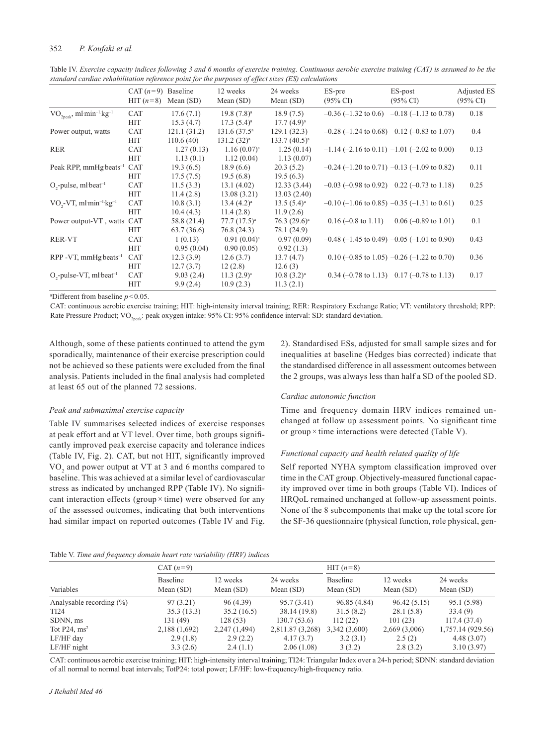# 352 *P. Koufaki et al.*

|                                                    | CAT $(n=9)$ Baseline<br>HIT $(n=8)$ | Mean $(SD)$ | 12 weeks<br>Mean $(SD)$    | 24 weeks<br>Mean $(SD)$ | ES-pre<br>$(95\% \text{ CI})$ | ES-post<br>$(95\% \text{ CI})$                                  | Adjusted ES<br>$(95\% \text{ CI})$ |
|----------------------------------------------------|-------------------------------------|-------------|----------------------------|-------------------------|-------------------------------|-----------------------------------------------------------------|------------------------------------|
| $VO2peak$ , ml min <sup>-1</sup> ·kg <sup>-1</sup> | <b>CAT</b>                          | 17.6(7.1)   | $19.8(7.8)^a$              | 18.9(7.5)               | $-0.36$ ( $-1.32$ to 0.6)     | $-0.18$ (-1.13 to 0.78)                                         | 0.18                               |
|                                                    | <b>HIT</b>                          | 15.3(4.7)   | $17.3(5.4)^a$              | $17.7(4.9)^a$           |                               |                                                                 |                                    |
| Power output, watts                                | <b>CAT</b>                          | 121.1(31.2) | $131.6(37.5)$ <sup>a</sup> | 129.1(32.3)             |                               | $-0.28$ (-1.24 to 0.68) 0.12 (-0.83 to 1.07)                    | 0.4                                |
|                                                    | <b>HIT</b>                          | 110.6(40)   | $131.2(32)^a$              | $133.7(40.5)^a$         |                               |                                                                 |                                    |
| RER                                                | <b>CAT</b>                          | 1.27(0.13)  | $1.16(0.07)^a$             | 1.25(0.14)              |                               | $-1.14$ (-2.16 to 0.11) $-1.01$ (-2.02 to 0.00)                 | 0.13                               |
|                                                    | <b>HIT</b>                          | 1.13(0.1)   | 1.12(0.04)                 | 1.13(0.07)              |                               |                                                                 |                                    |
| Peak RPP, mmHg beats <sup>-1</sup>                 | <b>CAT</b>                          | 19.3(6.5)   | 18.9(6.6)                  | 20.3(5.2)               |                               | $-0.24$ (-1.20 to 0.71) $-0.13$ (-1.09 to 0.82)                 | 0.11                               |
|                                                    | <b>HIT</b>                          | 17.5(7.5)   | 19.5(6.8)                  | 19.5(6.3)               |                               |                                                                 |                                    |
| $O_2$ -pulse, ml beat <sup>-1</sup>                | <b>CAT</b>                          | 11.5(3.3)   | 13.1(4.02)                 | 12.33(3.44)             |                               | $-0.03$ ( $-0.98$ to 0.92) 0.22 ( $-0.73$ to 1.18)              | 0.25                               |
|                                                    | <b>HIT</b>                          | 11.4(2.8)   | 13.08(3.21)                | 13.03(2.40)             |                               |                                                                 |                                    |
| $VO, -VT, ml min^{-1}kg^{-1}$                      | <b>CAT</b>                          | 10.8(3.1)   | $13.4(4.2)^a$              | $13.5(5.4)^a$           |                               | $-0.10$ (-1.06 to 0.85) $-0.35$ (-1.31 to 0.61)                 | 0.25                               |
|                                                    | <b>HIT</b>                          | 10.4(4.3)   | 11.4(2.8)                  | 11.9(2.6)               |                               |                                                                 |                                    |
| Power output-VT, watts CAT                         |                                     | 58.8 (21.4) | $77.7(17.5)^a$             | $76.3 (29.6)^a$         | $0.16$ (-0.8 to 1.11)         | $0.06$ (-0.89 to 1.01)                                          | 0.1                                |
|                                                    | <b>HIT</b>                          | 63.7(36.6)  | 76.8 (24.3)                | 78.1 (24.9)             |                               |                                                                 |                                    |
| RER-VT                                             | <b>CAT</b>                          | 1(0.13)     | $0.91(0.04)^a$             | 0.97(0.09)              |                               | $-0.48$ (-1.45 to 0.49) $-0.05$ (-1.01 to 0.90)                 | 0.43                               |
|                                                    | <b>HIT</b>                          | 0.95(0.04)  | 0.90(0.05)                 | 0.92(1.3)               |                               |                                                                 |                                    |
| $RPP - VT$ , mmHg beats <sup>-1</sup>              | <b>CAT</b>                          | 12.3(3.9)   | 12.6(3.7)                  | 13.7(4.7)               |                               | $0.10$ (-0.85 to 1.05) -0.26 (-1.22 to 0.70)                    | 0.36                               |
|                                                    | <b>HIT</b>                          | 12.7(3.7)   | 12(2.8)                    | 12.6(3)                 |                               |                                                                 |                                    |
| $O_{2}$ -pulse-VT, ml·beat <sup>-1</sup>           | <b>CAT</b>                          | 9.03(2.4)   | $11.3 (2.9)^a$             | $10.8(3.2)^a$           |                               | $0.34 (-0.78 \text{ to } 1.13)$ $0.17 (-0.78 \text{ to } 1.13)$ | 0.17                               |
|                                                    | <b>HIT</b>                          | 9.9(2.4)    | 10.9(2.3)                  | 11.3(2.1)               |                               |                                                                 |                                    |

Table IV. *Exercise capacity indices following 3 and 6 months of exercise training. Continuous aerobic exercise training (CAT) is assumed to be the standard cardiac rehabilitation reference point for the purposes of effect sizes (ES) calculations*

a Different from baseline *p*<0.05.

CAT: continuous aerobic exercise training; HIT: high-intensity interval training; RER: Respiratory Exchange Ratio; VT: ventilatory threshold; RPP: Rate Pressure Product; VO<sub>2peak</sub>: peak oxygen intake: 95% CI: 95% confidence interval: SD: standard deviation.

Although, some of these patients continued to attend the gym sporadically, maintenance of their exercise prescription could not be achieved so these patients were excluded from the final analysis. Patients included in the final analysis had completed at least 65 out of the planned 72 sessions.

# *Peak and submaximal exercise capacity*

Table IV summarises selected indices of exercise responses at peak effort and at VT level. Over time, both groups significantly improved peak exercise capacity and tolerance indices (Table IV, Fig. 2). CAT, but not HIT, significantly improved VO<sub>2</sub> and power output at VT at 3 and 6 months compared to baseline. This was achieved at a similar level of cardiovascular stress as indicated by unchanged RPP (Table IV). No significant interaction effects (group  $\times$  time) were observed for any of the assessed outcomes, indicating that both interventions had similar impact on reported outcomes (Table IV and Fig.

2). Standardised ESs, adjusted for small sample sizes and for inequalities at baseline (Hedges bias corrected) indicate that the standardised difference in all assessment outcomes between the 2 groups, was always less than half a SD of the pooled SD.

# *Cardiac autonomic function*

Time and frequency domain HRV indices remained unchanged at follow up assessment points. No significant time or group  $\times$  time interactions were detected (Table V).

# *Functional capacity and health related quality of life*

Self reported NYHA symptom classification improved over time in the CAT group. Objectively-measured functional capacity improved over time in both groups (Table VI). Indices of HRQoL remained unchanged at follow-up assessment points. None of the 8 subcomponents that make up the total score for the SF-36 questionnaire (physical function, role physical, gen-

|  |  |  |  |  |  |  | Table V. Time and frequency domain heart rate variability (HRV) indices |  |  |
|--|--|--|--|--|--|--|-------------------------------------------------------------------------|--|--|
|--|--|--|--|--|--|--|-------------------------------------------------------------------------|--|--|

| Tuble v. Thine and plequency abiliant near that variablisty (THC) finalects |                         |                         |                         |                         |                         |                         |  |  |  |
|-----------------------------------------------------------------------------|-------------------------|-------------------------|-------------------------|-------------------------|-------------------------|-------------------------|--|--|--|
|                                                                             | CAT $(n=9)$             |                         |                         | HIT $(n=8)$             |                         |                         |  |  |  |
| Variables                                                                   | Baseline<br>Mean $(SD)$ | 12 weeks<br>Mean $(SD)$ | 24 weeks<br>Mean $(SD)$ | Baseline<br>Mean $(SD)$ | 12 weeks<br>Mean $(SD)$ | 24 weeks<br>Mean $(SD)$ |  |  |  |
| Analysable recording $(\% )$                                                | 97(3.21)                | 96 (4.39)               | 95.7 (3.41)             | 96.85 (4.84)            | 96.42(5.15)             | 95.1 (5.98)             |  |  |  |
| TI <sub>24</sub>                                                            | 35.3(13.3)              | 35.2(16.5)              | 38.14 (19.8)            | 31.5(8.2)               | 28.1(5.8)               | 33.4(9)                 |  |  |  |
| SDNN, ms                                                                    | 131 (49)                | 128(53)                 | 130.7(53.6)             | 112(22)                 | 101(23)                 | 117.4(37.4)             |  |  |  |
| Tot P24, $ms^2$                                                             | 2,188 (1,692)           | 2,247 (1,494)           | 2,811.87 (3,268)        | 3,342(3,600)            | 2,669(3,006)            | 1,757.14 (929.56)       |  |  |  |
| LF/HF day                                                                   | 2.9(1.8)                | 2.9(2.2)                | 4.17(3.7)               | 3.2(3.1)                | 2.5(2)                  | 4.48(3.07)              |  |  |  |
| $LF/HF$ night                                                               | 3.3(2.6)                | 2.4(1.1)                | 2.06(1.08)              | 3(3.2)                  | 2.8(3.2)                | 3.10(3.97)              |  |  |  |

CAT: continuous aerobic exercise training; HIT: high-intensity interval training; TI24: Triangular Index over a 24-h period; SDNN: standard deviation of all normal to normal beat intervals; TotP24: total power; LF/HF: low-frequency/high-frequency ratio.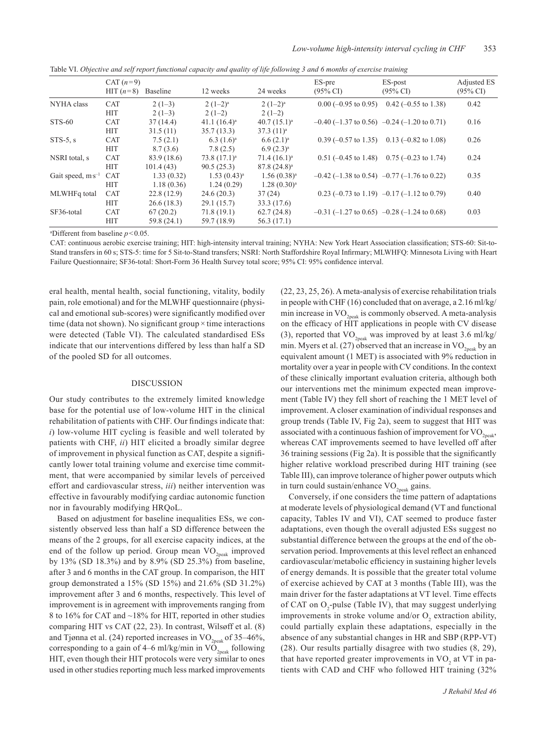|                       | CAT $(n=9)$<br>HIT $(n=8)$ | Baseline    | 12 weeks        | 24 weeks         | ES-pre<br>$(95\% \text{ CI})$ | ES-post<br>$(95\% \text{ CI})$                                     | Adjusted ES<br>$(95\% \text{ CI})$ |
|-----------------------|----------------------------|-------------|-----------------|------------------|-------------------------------|--------------------------------------------------------------------|------------------------------------|
|                       |                            |             |                 |                  |                               |                                                                    |                                    |
| NYHA class            | <b>CAT</b>                 | $2(1-3)$    | $2(1-2)^a$      | $2(1-2)^a$       | $0.00$ (-0.95 to 0.95)        | $0.42$ (-0.55 to 1.38)                                             | 0.42                               |
|                       | <b>HIT</b>                 | $2(1-3)$    | $2(1-2)$        | $2(1-2)$         |                               |                                                                    |                                    |
| STS-60                | <b>CAT</b>                 | 37(14.4)    | 41.1 $(16.4)^a$ | $40.7(15.1)^a$   |                               | $-0.40$ (-1.37 to 0.56) $-0.24$ (-1.20 to 0.71)                    | 0.16                               |
|                       | <b>HIT</b>                 | 31.5(11)    | 35.7(13.3)      | $37.3(11)^a$     |                               |                                                                    |                                    |
| $STS-5, s$            | <b>CAT</b>                 | 7.5(2.1)    | $6.3(1.6)^a$    | $6.6(2.1)^a$     | $0.39$ (-0.57 to 1.35)        | $0.13$ (-0.82 to 1.08)                                             | 0.26                               |
|                       | <b>HIT</b>                 | 8.7(3.6)    | 7.8(2.5)        | $6.9(2.3)^a$     |                               |                                                                    |                                    |
| NSRI total, s         | <b>CAT</b>                 | 83.9 (18.6) | $73.8(17.1)^a$  | $71.4(16.1)^a$   | $0.51$ (-0.45 to 1.48)        | $0.75 (-0.23 \text{ to } 1.74)$                                    | 0.24                               |
|                       | <b>HIT</b>                 | 101.4(43)   | 90.5(25.3)      | $87.8(24.8)^a$   |                               |                                                                    |                                    |
| Gait speed, $ms^{-1}$ | <b>CAT</b>                 | 1.33(0.32)  | $1.53(0.43)^a$  | $1.56(0.38)^{a}$ |                               | $-0.42$ (-1.38 to 0.54) $-0.77$ (-1.76 to 0.22)                    | 0.35                               |
|                       | <b>HIT</b>                 | 1.18(0.36)  | 1.24(0.29)      | $1.28(0.30)^a$   |                               |                                                                    |                                    |
| MLWHFq total          | <b>CAT</b>                 | 22.8(12.9)  | 24.6(20.3)      | 37(24)           |                               | 0.23 $(-0.73 \text{ to } 1.19)$ $-0.17$ $(-1.12 \text{ to } 0.79)$ | 0.40                               |
|                       | <b>HIT</b>                 | 26.6(18.3)  | 29.1(15.7)      | 33.3 (17.6)      |                               |                                                                    |                                    |
| SF36-total            | <b>CAT</b>                 | 67(20.2)    | 71.8(19.1)      | 62.7(24.8)       |                               | $-0.31$ (-1.27 to 0.65) $-0.28$ (-1.24 to 0.68)                    | 0.03                               |
|                       | <b>HIT</b>                 | 59.8 (24.1) | 59.7 (18.9)     | 56.3 (17.1)      |                               |                                                                    |                                    |

Table VI. *Objective and self report functional capacity and quality of life following 3 and 6 months of exercise training*

a Different from baseline  $p < 0.05$ .

CAT: continuous aerobic exercise training; HIT: high-intensity interval training; NYHA: New York Heart Association classification; STS-60: Sit-to-Stand transfers in 60 s; STS-5: time for 5 Sit-to-Stand transfers; NSRI: North Staffordshire Royal Infirmary; MLWHFQ: Minnesota Living with Heart Failure Questionnaire; SF36-total: Short-Form 36 Health Survey total score; 95% CI: 95% confidence interval.

eral health, mental health, social functioning, vitality, bodily pain, role emotional) and for the MLWHF questionnaire (physical and emotional sub-scores) were significantly modified over time (data not shown). No significant group  $\times$  time interactions were detected (Table VI). The calculated standardised ESs indicate that our interventions differed by less than half a SD of the pooled SD for all outcomes.

#### DISCUSSION

Our study contributes to the extremely limited knowledge base for the potential use of low-volume HIT in the clinical rehabilitation of patients with CHF. Our findings indicate that: *i*) low-volume HIT cycling is feasible and well tolerated by patients with CHF, *ii*) HIT elicited a broadly similar degree of improvement in physical function as CAT, despite a significantly lower total training volume and exercise time commitment, that were accompanied by similar levels of perceived effort and cardiovascular stress, *iii*) neither intervention was effective in favourably modifying cardiac autonomic function nor in favourably modifying HRQoL.

Based on adjustment for baseline inequalities ESs, we consistently observed less than half a SD difference between the means of the 2 groups, for all exercise capacity indices, at the end of the follow up period. Group mean  $VO_{2\text{peak}}$  improved by 13% (SD 18.3%) and by 8.9% (SD 25.3%) from baseline, after 3 and 6 months in the CAT group. In comparison, the HIT group demonstrated a 15% (SD 15%) and 21.6% (SD 31.2%) improvement after 3 and 6 months, respectively. This level of improvement is in agreement with improvements ranging from 8 to 16% for CAT and ~18% for HIT, reported in other studies comparing HIT vs CAT (22, 23). In contrast, Wilsøff et al. (8) and Tjønna et al. (24) reported increases in  $\rm VO_{2peak}$  of 35–46%, corresponding to a gain of 4–6 ml/kg/min in  $\overline{VO}_{2\text{peak}}$  following HIT, even though their HIT protocols were very similar to ones used in other studies reporting much less marked improvements (22, 23, 25, 26). A meta-analysis of exercise rehabilitation trials in people with CHF (16) concluded that on average, a 2.16 ml/kg/ min increase in  $VO_{2nek}$  is commonly observed. A meta-analysis on the efficacy of HIT applications in people with CV disease (3), reported that  $VO_{2peak}$  was improved by at least 3.6 ml/kg/ min. Myers et al. (27) observed that an increase in  $VO_{2n e a k}$  by an equivalent amount (1 MET) is associated with 9% reduction in mortality over a year in people with CV conditions. In the context of these clinically important evaluation criteria, although both our interventions met the minimum expected mean improvement (Table IV) they fell short of reaching the 1 MET level of improvement. A closer examination of individual responses and group trends (Table IV, Fig 2a), seem to suggest that HIT was associated with a continuous fashion of improvement for  $VO_{2neak}$ , whereas CAT improvements seemed to have levelled off after 36 training sessions (Fig 2a). It is possible that the significantly higher relative workload prescribed during HIT training (see Table III), can improve tolerance of higher power outputs which in turn could sustain/enhance  $VO_{2pek}$  gains.

Conversely, if one considers the time pattern of adaptations at moderate levels of physiological demand (VT and functional capacity, Tables IV and VI), CAT seemed to produce faster adaptations, even though the overall adjusted ESs suggest no substantial difference between the groups at the end of the observation period. Improvements at this level reflect an enhanced cardiovascular/metabolic efficiency in sustaining higher levels of energy demands. It is possible that the greater total volume of exercise achieved by CAT at 3 months (Table III), was the main driver for the faster adaptations at VT level. Time effects of CAT on  $O_2$ -pulse (Table IV), that may suggest underlying improvements in stroke volume and/or  $O_2$  extraction ability, could partially explain these adaptations, especially in the absence of any substantial changes in HR and SBP (RPP-VT) (28). Our results partially disagree with two studies (8, 29), that have reported greater improvements in  $VO<sub>2</sub>$  at VT in patients with CAD and CHF who followed HIT training (32%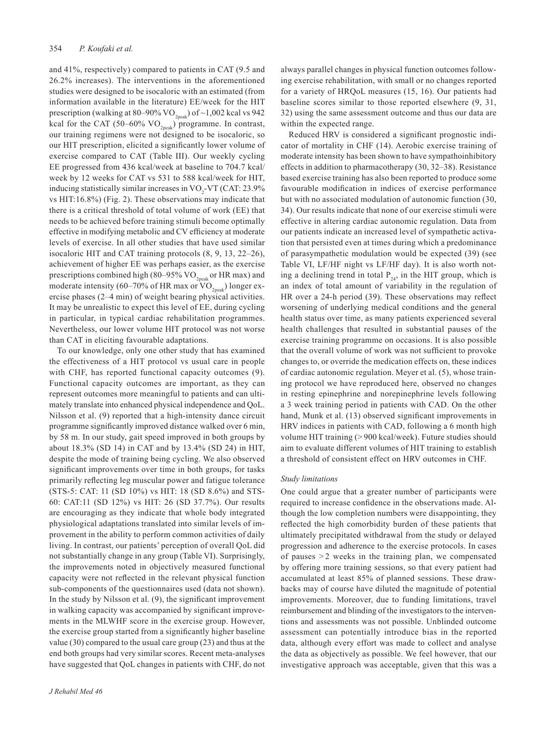and 41%, respectively) compared to patients in CAT (9.5 and 26.2% increases). The interventions in the aforementioned studies were designed to be isocaloric with an estimated (from information available in the literature) EE/week for the HIT prescription (walking at 80–90% VO<sub>2peak</sub>) of ~1,002 kcal vs 942 kcal for the CAT (50–60%  $VO_{2\text{peak}}$ ) programme. In contrast, our training regimens were not designed to be isocaloric, so our HIT prescription, elicited a significantly lower volume of exercise compared to CAT (Table III). Our weekly cycling EE progressed from 436 kcal/week at baseline to 704.7 kcal/ week by 12 weeks for CAT vs 531 to 588 kcal/week for HIT, inducing statistically similar increases in  $VO_2$ -VT (CAT: 23.9%) vs HIT:16.8%) (Fig. 2). These observations may indicate that there is a critical threshold of total volume of work (EE) that needs to be achieved before training stimuli become optimally effective in modifying metabolic and CV efficiency at moderate levels of exercise. In all other studies that have used similar isocaloric HIT and CAT training protocols (8, 9, 13, 22–26), achievement of higher EE was perhaps easier, as the exercise prescriptions combined high (80–95%  $VO_{2nek}$  or HR max) and moderate intensity (60–70% of HR max or  $VO_{2p,2}$ ) longer exercise phases (2–4 min) of weight bearing physical activities. It may be unrealistic to expect this level of EE, during cycling in particular, in typical cardiac rehabilitation programmes. Nevertheless, our lower volume HIT protocol was not worse than CAT in eliciting favourable adaptations.

To our knowledge, only one other study that has examined the effectiveness of a HIT protocol vs usual care in people with CHF, has reported functional capacity outcomes (9). Functional capacity outcomes are important, as they can represent outcomes more meaningful to patients and can ultimately translate into enhanced physical independence and QoL. Nilsson et al. (9) reported that a high-intensity dance circuit programme significantly improved distance walked over 6 min, by 58 m. In our study, gait speed improved in both groups by about 18.3% (SD 14) in CAT and by 13.4% (SD 24) in HIT, despite the mode of training being cycling. We also observed significant improvements over time in both groups, for tasks primarily reflecting leg muscular power and fatigue tolerance (STS-5: CAT: 11 (SD 10%) vs HIT: 18 (SD 8.6%) and STS-60: CAT:11 (SD 12%) vs HIT: 26 (SD 37.7%). Our results are encouraging as they indicate that whole body integrated physiological adaptations translated into similar levels of improvement in the ability to perform common activities of daily living. In contrast, our patients' perception of overall QoL did not substantially change in any group (Table VI). Surprisingly, the improvements noted in objectively measured functional capacity were not reflected in the relevant physical function sub-components of the questionnaires used (data not shown). In the study by Nilsson et al. (9), the significant improvement in walking capacity was accompanied by significant improvements in the MLWHF score in the exercise group. However, the exercise group started from a significantly higher baseline value (30) compared to the usual care group (23) and thus at the end both groups had very similar scores. Recent meta-analyses have suggested that QoL changes in patients with CHF, do not always parallel changes in physical function outcomes following exercise rehabilitation, with small or no changes reported for a variety of HRQoL measures (15, 16). Our patients had baseline scores similar to those reported elsewhere (9, 31, 32) using the same assessment outcome and thus our data are within the expected range.

Reduced HRV is considered a significant prognostic indicator of mortality in CHF (14). Aerobic exercise training of moderate intensity has been shown to have sympathoinhibitory effects in addition to pharmacotherapy (30, 32–38). Resistance based exercise training has also been reported to produce some favourable modification in indices of exercise performance but with no associated modulation of autonomic function (30, 34). Our results indicate that none of our exercise stimuli were effective in altering cardiac autonomic regulation. Data from our patients indicate an increased level of sympathetic activation that persisted even at times during which a predominance of parasympathetic modulation would be expected (39) (see Table VI, LF/HF night vs LF/HF day). It is also worth noting a declining trend in total  $P_{24}$ , in the HIT group, which is an index of total amount of variability in the regulation of HR over a 24-h period (39). These observations may reflect worsening of underlying medical conditions and the general health status over time, as many patients experienced several health challenges that resulted in substantial pauses of the exercise training programme on occasions. It is also possible that the overall volume of work was not sufficient to provoke changes to, or override the medication effects on, these indices of cardiac autonomic regulation. Meyer et al. (5), whose training protocol we have reproduced here, observed no changes in resting epinephrine and norepinephrine levels following a 3 week training period in patients with CAD. On the other hand, Munk et al. (13) observed significant improvements in HRV indices in patients with CAD, following a 6 month high volume HIT training (> 900 kcal/week). Future studies should aim to evaluate different volumes of HIT training to establish a threshold of consistent effect on HRV outcomes in CHF.

## *Study limitations*

One could argue that a greater number of participants were required to increase confidence in the observations made. Although the low completion numbers were disappointing, they reflected the high comorbidity burden of these patients that ultimately precipitated withdrawal from the study or delayed progression and adherence to the exercise protocols. In cases of pauses  $> 2$  weeks in the training plan, we compensated by offering more training sessions, so that every patient had accumulated at least 85% of planned sessions. These drawbacks may of course have diluted the magnitude of potential improvements. Moreover, due to funding limitations, travel reimbursement and blinding of the investigators to the interventions and assessments was not possible. Unblinded outcome assessment can potentially introduce bias in the reported data, although every effort was made to collect and analyse the data as objectively as possible. We feel however, that our investigative approach was acceptable, given that this was a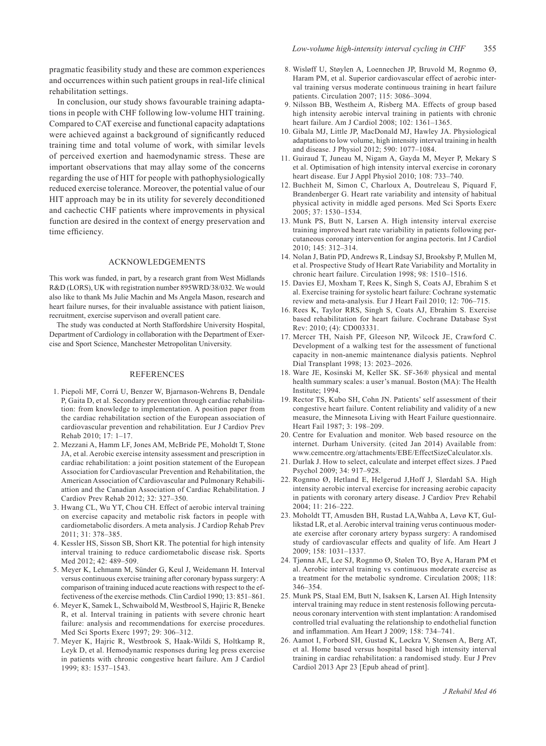pragmatic feasibility study and these are common experiences and occurrences within such patient groups in real-life clinical rehabilitation settings.

In conclusion, our study shows favourable training adaptations in people with CHF following low-volume HIT training. Compared to CAT exercise and functional capacity adaptations were achieved against a background of significantly reduced training time and total volume of work, with similar levels of perceived exertion and haemodynamic stress. These are important observations that may allay some of the concerns regarding the use of HIT for people with pathophysiologically reduced exercise tolerance. Moreover, the potential value of our HIT approach may be in its utility for severely deconditioned and cachectic CHF patients where improvements in physical function are desired in the context of energy preservation and time efficiency.

# Acknowledgements

This work was funded, in part, by a research grant from West Midlands R&D (LORS), UK with registration number 895WRD/38/032. We would also like to thank Ms Julie Machin and Ms Angela Mason, research and heart failure nurses, for their invaluable assistance with patient liaison, recruitment, exercise supervison and overall patient care.

The study was conducted at North Staffordshire University Hospital, Department of Cardiology in collaboration with the Department of Exercise and Sport Science, Manchester Metropolitan University.

# **REFERENCES**

- 1. Piepoli MF, Corrá U, Benzer W, Bjarnason-Wehrens B, Dendale P, Gaita D, et al. Secondary prevention through cardiac rehabilitation: from knowledge to implementation. A position paper from the cardiac rehabilitation section of the European association of cardiovascular prevention and rehabilitation. Eur J Cardiov Prev Rehab 2010; 17: 1–17.
- 2. Mezzani A, Hamm LF, Jones AM, McBride PE, Moholdt T, Stone JA, et al. Aerobic exercise intensity assessment and prescription in cardiac rehabilitation: a joint position statement of the European Association for Cardiovascular Prevention and Rehabilitation, the American Association of Cardiovascular and Pulmonary Rehabiliattion and the Canadian Association of Cardiac Rehabilitation. J Cardiov Prev Rehab 2012; 32: 327–350.
- 3. Hwang CL, Wu YT, Chou CH. Effect of aerobic interval training on exercise capacity and metabolic risk factors in people with cardiometabolic disorders. A meta analysis. J Cardiop Rehab Prev 2011; 31: 378–385.
- 4. Kessler HS, Sisson SB, Short KR. The potential for high intensity interval training to reduce cardiometabolic disease risk. Sports Med 2012; 42: 489–509.
- 5. Meyer K, Lehmann M, Sünder G, Keul J, Weidemann H. Interval versus continuous exercise training after coronary bypass surgery: A comparison of training induced acute reactions with respect to the effectiveness of the exercise methods. Clin Cardiol 1990; 13: 851–861.
- 6. Meyer K, Samek L, Schwaibold M, Westbrool S, Hajiric R, Beneke R, et al. Interval training in patients with severe chronic heart failure: analysis and recommendations for exercise procedures. Med Sci Sports Exerc 1997; 29: 306–312.
- 7. Meyer K, Hajric R, Westbrook S, Haak-Wildi S, Holtkamp R, Leyk D, et al. Hemodynamic responses during leg press exercise in patients with chronic congestive heart failure. Am J Cardiol 1999; 83: 1537–1543.
- 8. Wisløff U, Støylen A, Loennechen JP, Bruvold M, Rognmo Ø, Haram PM, et al. Superior cardiovascular effect of aerobic interval training versus moderate continuous training in heart failure patients. Circulation 2007; 115: 3086–3094.
- 9. Nilsson BB, Westheim A, Risberg MA. Effects of group based high intensity aerobic interval training in patients with chronic heart failure. Am J Cardiol 2008; 102: 1361–1365.
- 10. Gibala MJ, Little JP, MacDonald MJ, Hawley JA. Physiological adaptations to low volume, high intensity interval training in health and disease. J Physiol 2012; 590: 1077–1084.
- 11. Guiraud T, Juneau M, Nigam A, Gayda M, Meyer P, Mekary S et al. Optimisation of high intensity interval exercise in coronary heart disease. Eur J Appl Physiol 2010; 108: 733–740.
- 12. Buchheit M, Simon C, Charloux A, Doutreleau S, Piquard F, Brandenberger G. Heart rate variability and intensity of habitual physical activity in middle aged persons. Med Sci Sports Exerc 2005; 37: 1530–1534.
- 13. Munk PS, Butt N, Larsen A. High intensity interval exercise training improved heart rate variability in patients following percutaneous coronary intervention for angina pectoris. Int J Cardiol 2010; 145: 312–314.
- 14. Nolan J, Batin PD, Andrews R, Lindsay SJ, Brooksby P, Mullen M, et al. Prospective Study of Heart Rate Variability and Mortality in chronic heart failure. Circulation 1998; 98: 1510–1516.
- 15. Davies EJ, Moxham T, Rees K, Singh S, Coats AJ, Ebrahim S et al. Exercise training for systolic heart failure: Cochrane systematic review and meta-analysis. Eur J Heart Fail 2010; 12: 706–715.
- 16. Rees K, Taylor RRS, Singh S, Coats AJ, Ebrahim S. Exercise based rehabilitation for heart failure. Cochrane Database Syst Rev: 2010; (4): CD003331.
- 17. Mercer TH, Naish PF, Gleeson NP, Wilcock JE, Crawford C. Development of a walking test for the assessment of functional capacity in non-anemic maintenance dialysis patients. Nephrol Dial Transplant 1998; 13: 2023–2026.
- 18. Ware JE, Kosinski M, Keller SK. SF-36® physical and mental health summary scales: a user's manual. Boston (MA): The Health Institute; 1994.
- 19. Rector TS, Kubo SH, Cohn JN. Patients' self assessment of their congestive heart failure. Content reliability and validity of a new measure, the Minnesota Living with Heart Failure questionnaire. Heart Fail 1987; 3: 198–209.
- 20. Centre for Evaluation and monitor. Web based resource on the internet. Durham University. (cited Jan 2014) Available from: www.cemcentre.org/attachments/EBE/EffectSizeCalculator.xls.
- 21. Durlak J. How to select, calculate and interpet effect sizes. J Paed Psychol 2009; 34: 917–928.
- 22. Rognmo Ø, Hetland E, Helgerud J,Hoff J, Slørdahl SA. High intensity aerobic interval exercise for increasing aerobic capacity in patients with coronary artery disease. J Cardiov Prev Rehabil 2004; 11: 216–222.
- 23. Moholdt TT, Amusden BH, Rustad LA,Wahba A, Løvø KT, Gullikstad LR, et al. Aerobic interval training verus continuous moderate exercise after coronary artery bypass surgery: A randomised study of cardiovascular effects and quality of life. Am Heart J 2009; 158: 1031–1337.
- 24. Tjønna AE, Lee SJ, Rognmo Ø, Stølen TO, Bye A, Haram PM et al. Aerobic interval training vs continuous moderate exercise as a treatment for the metabolic syndrome. Circulation 2008; 118: 346–354.
- 25. Munk PS, Staal EM, Butt N, Isaksen K, Larsen AI. High Intensity interval training may reduce in stent restenosis following percutaneous coronary intervention with stent implantation: A randomised controlled trial evaluating the relationship to endothelial function and inflammation. Am Heart J 2009; 158: 734–741.
- 26. Aamot I, Forbord SH, Gustad K, Løckra V, Stensen A, Berg AT, et al. Home based versus hospital based high intensity interval training in cardiac rehabilitation: a randomised study. Eur J Prev Cardiol 2013 Apr 23 [Epub ahead of print].